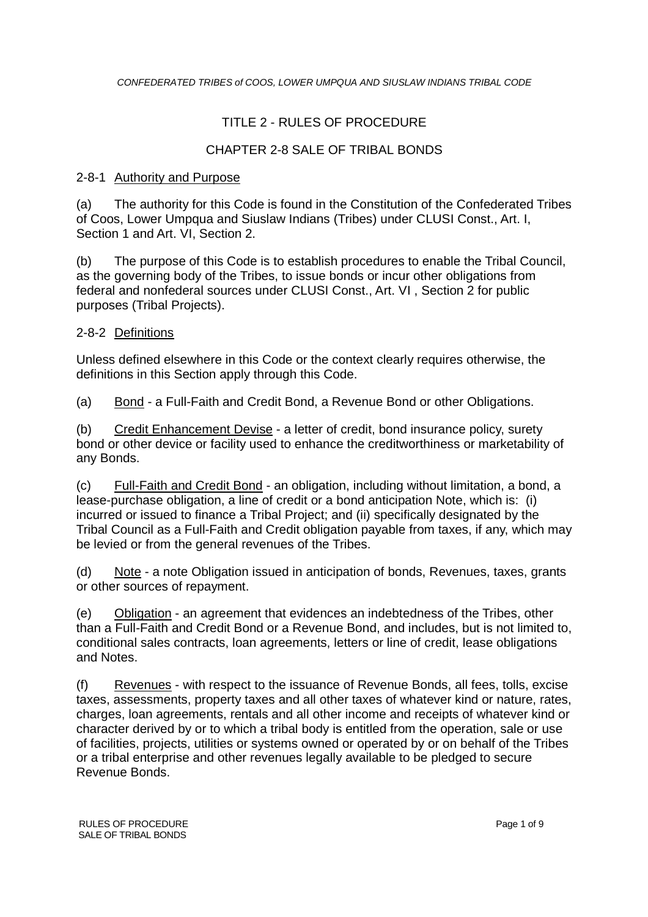## TITLE 2 - RULES OF PROCEDURE

#### CHAPTER 2-8 SALE OF TRIBAL BONDS

#### 2-8-1 Authority and Purpose

(a) The authority for this Code is found in the Constitution of the Confederated Tribes of Coos, Lower Umpqua and Siuslaw Indians (Tribes) under CLUSI Const., Art. I, Section 1 and Art. VI, Section 2.

(b) The purpose of this Code is to establish procedures to enable the Tribal Council, as the governing body of the Tribes, to issue bonds or incur other obligations from federal and nonfederal sources under CLUSI Const., Art. VI , Section 2 for public purposes (Tribal Projects).

#### 2-8-2 Definitions

Unless defined elsewhere in this Code or the context clearly requires otherwise, the definitions in this Section apply through this Code.

(a) Bond - a Full-Faith and Credit Bond, a Revenue Bond or other Obligations.

(b) Credit Enhancement Devise - a letter of credit, bond insurance policy, surety bond or other device or facility used to enhance the creditworthiness or marketability of any Bonds.

(c) Full-Faith and Credit Bond - an obligation, including without limitation, a bond, a lease-purchase obligation, a line of credit or a bond anticipation Note, which is: (i) incurred or issued to finance a Tribal Project; and (ii) specifically designated by the Tribal Council as a Full-Faith and Credit obligation payable from taxes, if any, which may be levied or from the general revenues of the Tribes.

(d) Note - a note Obligation issued in anticipation of bonds, Revenues, taxes, grants or other sources of repayment.

(e) Obligation - an agreement that evidences an indebtedness of the Tribes, other than a Full-Faith and Credit Bond or a Revenue Bond, and includes, but is not limited to, conditional sales contracts, loan agreements, letters or line of credit, lease obligations and Notes.

(f) Revenues - with respect to the issuance of Revenue Bonds, all fees, tolls, excise taxes, assessments, property taxes and all other taxes of whatever kind or nature, rates, charges, loan agreements, rentals and all other income and receipts of whatever kind or character derived by or to which a tribal body is entitled from the operation, sale or use of facilities, projects, utilities or systems owned or operated by or on behalf of the Tribes or a tribal enterprise and other revenues legally available to be pledged to secure Revenue Bonds.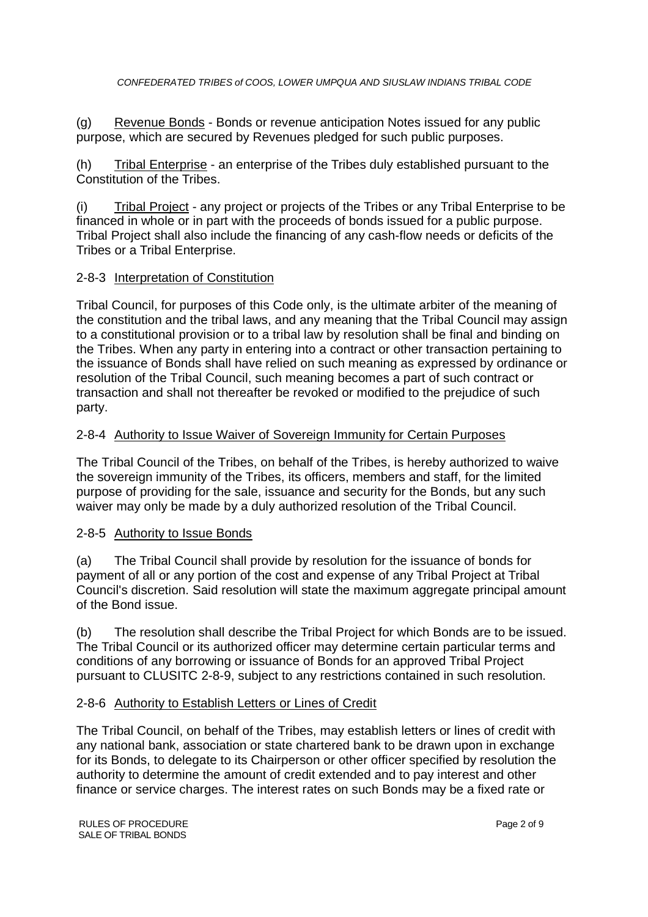(g) Revenue Bonds - Bonds or revenue anticipation Notes issued for any public purpose, which are secured by Revenues pledged for such public purposes.

(h) Tribal Enterprise - an enterprise of the Tribes duly established pursuant to the Constitution of the Tribes.

(i) Tribal Project - any project or projects of the Tribes or any Tribal Enterprise to be financed in whole or in part with the proceeds of bonds issued for a public purpose. Tribal Project shall also include the financing of any cash-flow needs or deficits of the Tribes or a Tribal Enterprise.

### 2-8-3 Interpretation of Constitution

Tribal Council, for purposes of this Code only, is the ultimate arbiter of the meaning of the constitution and the tribal laws, and any meaning that the Tribal Council may assign to a constitutional provision or to a tribal law by resolution shall be final and binding on the Tribes. When any party in entering into a contract or other transaction pertaining to the issuance of Bonds shall have relied on such meaning as expressed by ordinance or resolution of the Tribal Council, such meaning becomes a part of such contract or transaction and shall not thereafter be revoked or modified to the prejudice of such party.

### 2-8-4 Authority to Issue Waiver of Sovereign Immunity for Certain Purposes

The Tribal Council of the Tribes, on behalf of the Tribes, is hereby authorized to waive the sovereign immunity of the Tribes, its officers, members and staff, for the limited purpose of providing for the sale, issuance and security for the Bonds, but any such waiver may only be made by a duly authorized resolution of the Tribal Council.

#### 2-8-5 Authority to Issue Bonds

(a) The Tribal Council shall provide by resolution for the issuance of bonds for payment of all or any portion of the cost and expense of any Tribal Project at Tribal Council's discretion. Said resolution will state the maximum aggregate principal amount of the Bond issue.

(b) The resolution shall describe the Tribal Project for which Bonds are to be issued. The Tribal Council or its authorized officer may determine certain particular terms and conditions of any borrowing or issuance of Bonds for an approved Tribal Project pursuant to CLUSITC 2-8-9, subject to any restrictions contained in such resolution.

#### 2-8-6 Authority to Establish Letters or Lines of Credit

The Tribal Council, on behalf of the Tribes, may establish letters or lines of credit with any national bank, association or state chartered bank to be drawn upon in exchange for its Bonds, to delegate to its Chairperson or other officer specified by resolution the authority to determine the amount of credit extended and to pay interest and other finance or service charges. The interest rates on such Bonds may be a fixed rate or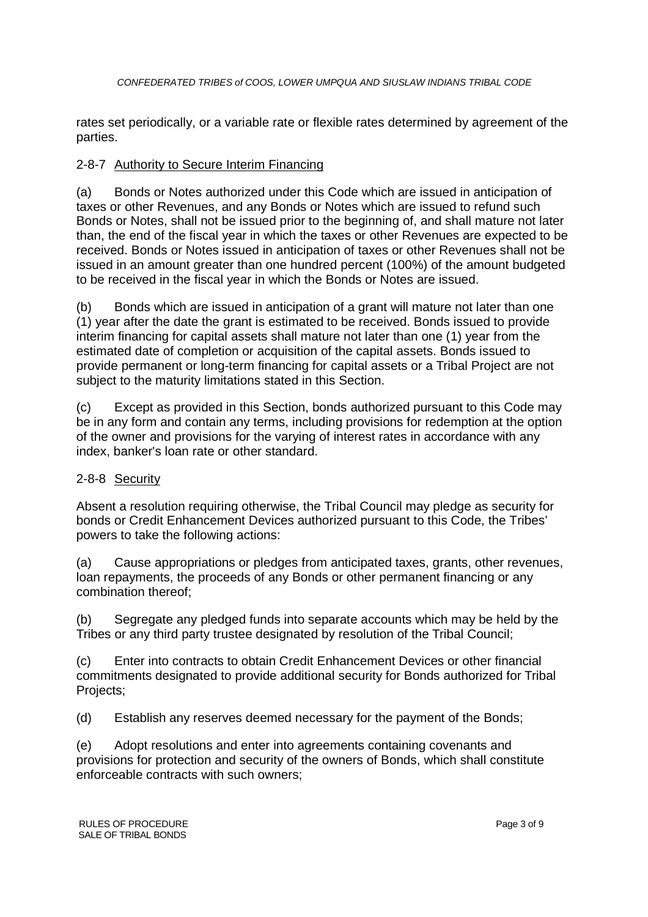rates set periodically, or a variable rate or flexible rates determined by agreement of the parties.

## 2-8-7 Authority to Secure Interim Financing

(a) Bonds or Notes authorized under this Code which are issued in anticipation of taxes or other Revenues, and any Bonds or Notes which are issued to refund such Bonds or Notes, shall not be issued prior to the beginning of, and shall mature not later than, the end of the fiscal year in which the taxes or other Revenues are expected to be received. Bonds or Notes issued in anticipation of taxes or other Revenues shall not be issued in an amount greater than one hundred percent (100%) of the amount budgeted to be received in the fiscal year in which the Bonds or Notes are issued.

(b) Bonds which are issued in anticipation of a grant will mature not later than one (1) year after the date the grant is estimated to be received. Bonds issued to provide interim financing for capital assets shall mature not later than one (1) year from the estimated date of completion or acquisition of the capital assets. Bonds issued to provide permanent or long-term financing for capital assets or a Tribal Project are not subject to the maturity limitations stated in this Section.

(c) Except as provided in this Section, bonds authorized pursuant to this Code may be in any form and contain any terms, including provisions for redemption at the option of the owner and provisions for the varying of interest rates in accordance with any index, banker's loan rate or other standard.

## 2-8-8 Security

Absent a resolution requiring otherwise, the Tribal Council may pledge as security for bonds or Credit Enhancement Devices authorized pursuant to this Code, the Tribes' powers to take the following actions:

(a) Cause appropriations or pledges from anticipated taxes, grants, other revenues, loan repayments, the proceeds of any Bonds or other permanent financing or any combination thereof;

(b) Segregate any pledged funds into separate accounts which may be held by the Tribes or any third party trustee designated by resolution of the Tribal Council;

(c) Enter into contracts to obtain Credit Enhancement Devices or other financial commitments designated to provide additional security for Bonds authorized for Tribal Projects;

(d) Establish any reserves deemed necessary for the payment of the Bonds;

(e) Adopt resolutions and enter into agreements containing covenants and provisions for protection and security of the owners of Bonds, which shall constitute enforceable contracts with such owners;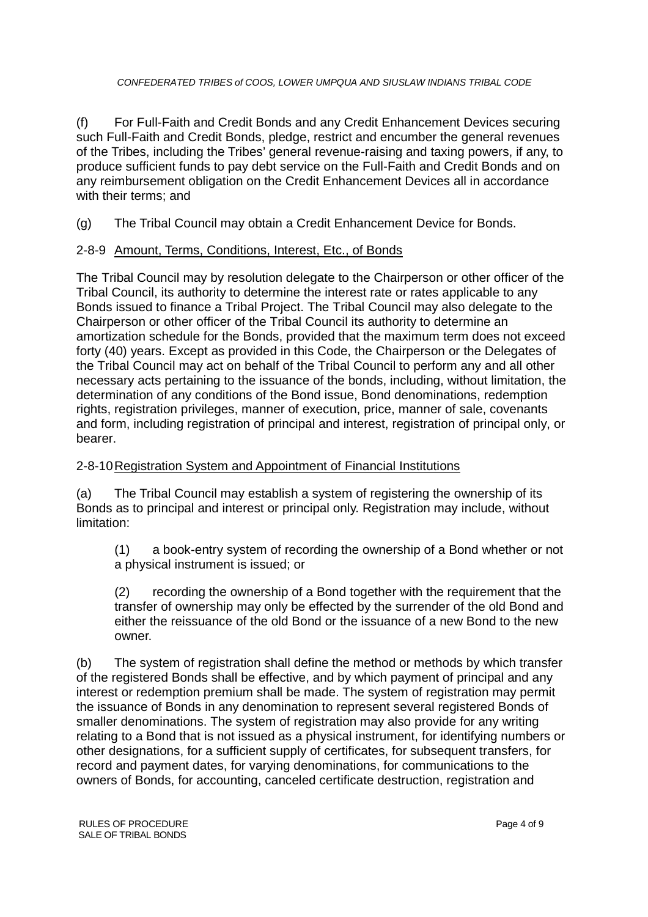(f) For Full-Faith and Credit Bonds and any Credit Enhancement Devices securing such Full-Faith and Credit Bonds, pledge, restrict and encumber the general revenues of the Tribes, including the Tribes' general revenue-raising and taxing powers, if any, to produce sufficient funds to pay debt service on the Full-Faith and Credit Bonds and on any reimbursement obligation on the Credit Enhancement Devices all in accordance with their terms; and

(g) The Tribal Council may obtain a Credit Enhancement Device for Bonds.

#### 2-8-9 Amount, Terms, Conditions, Interest, Etc., of Bonds

The Tribal Council may by resolution delegate to the Chairperson or other officer of the Tribal Council, its authority to determine the interest rate or rates applicable to any Bonds issued to finance a Tribal Project. The Tribal Council may also delegate to the Chairperson or other officer of the Tribal Council its authority to determine an amortization schedule for the Bonds, provided that the maximum term does not exceed forty (40) years. Except as provided in this Code, the Chairperson or the Delegates of the Tribal Council may act on behalf of the Tribal Council to perform any and all other necessary acts pertaining to the issuance of the bonds, including, without limitation, the determination of any conditions of the Bond issue, Bond denominations, redemption rights, registration privileges, manner of execution, price, manner of sale, covenants and form, including registration of principal and interest, registration of principal only, or bearer.

#### 2-8-10Registration System and Appointment of Financial Institutions

(a) The Tribal Council may establish a system of registering the ownership of its Bonds as to principal and interest or principal only. Registration may include, without limitation:

(1) a book-entry system of recording the ownership of a Bond whether or not a physical instrument is issued; or

(2) recording the ownership of a Bond together with the requirement that the transfer of ownership may only be effected by the surrender of the old Bond and either the reissuance of the old Bond or the issuance of a new Bond to the new owner.

(b) The system of registration shall define the method or methods by which transfer of the registered Bonds shall be effective, and by which payment of principal and any interest or redemption premium shall be made. The system of registration may permit the issuance of Bonds in any denomination to represent several registered Bonds of smaller denominations. The system of registration may also provide for any writing relating to a Bond that is not issued as a physical instrument, for identifying numbers or other designations, for a sufficient supply of certificates, for subsequent transfers, for record and payment dates, for varying denominations, for communications to the owners of Bonds, for accounting, canceled certificate destruction, registration and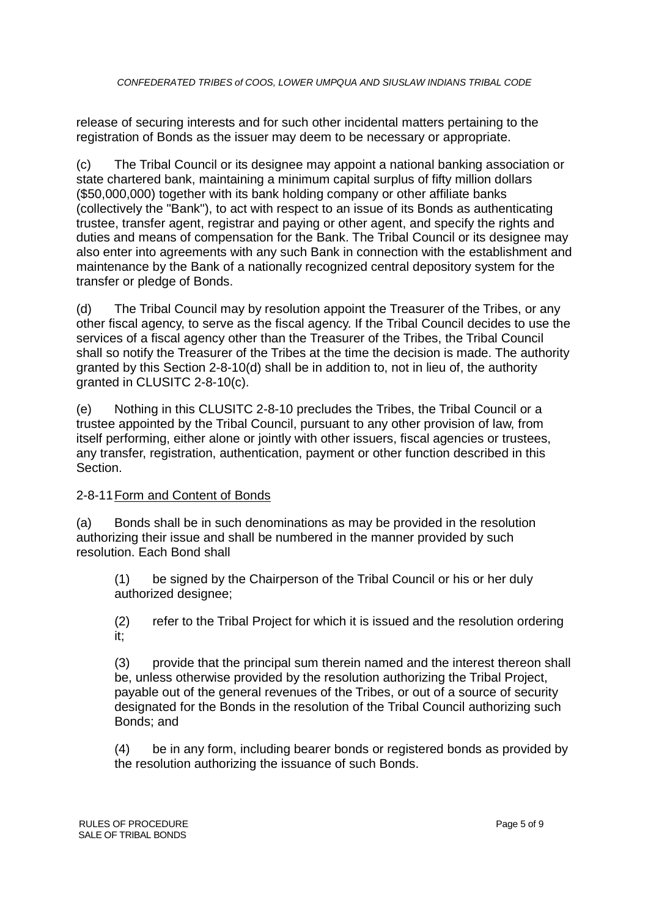release of securing interests and for such other incidental matters pertaining to the registration of Bonds as the issuer may deem to be necessary or appropriate.

(c) The Tribal Council or its designee may appoint a national banking association or state chartered bank, maintaining a minimum capital surplus of fifty million dollars (\$50,000,000) together with its bank holding company or other affiliate banks (collectively the "Bank"), to act with respect to an issue of its Bonds as authenticating trustee, transfer agent, registrar and paying or other agent, and specify the rights and duties and means of compensation for the Bank. The Tribal Council or its designee may also enter into agreements with any such Bank in connection with the establishment and maintenance by the Bank of a nationally recognized central depository system for the transfer or pledge of Bonds.

(d) The Tribal Council may by resolution appoint the Treasurer of the Tribes, or any other fiscal agency, to serve as the fiscal agency. If the Tribal Council decides to use the services of a fiscal agency other than the Treasurer of the Tribes, the Tribal Council shall so notify the Treasurer of the Tribes at the time the decision is made. The authority granted by this Section 2-8-10(d) shall be in addition to, not in lieu of, the authority granted in CLUSITC 2-8-10(c).

(e) Nothing in this CLUSITC 2-8-10 precludes the Tribes, the Tribal Council or a trustee appointed by the Tribal Council, pursuant to any other provision of law, from itself performing, either alone or jointly with other issuers, fiscal agencies or trustees, any transfer, registration, authentication, payment or other function described in this Section.

## 2-8-11Form and Content of Bonds

(a) Bonds shall be in such denominations as may be provided in the resolution authorizing their issue and shall be numbered in the manner provided by such resolution. Each Bond shall

(1) be signed by the Chairperson of the Tribal Council or his or her duly authorized designee;

(2) refer to the Tribal Project for which it is issued and the resolution ordering it;

(3) provide that the principal sum therein named and the interest thereon shall be, unless otherwise provided by the resolution authorizing the Tribal Project, payable out of the general revenues of the Tribes, or out of a source of security designated for the Bonds in the resolution of the Tribal Council authorizing such Bonds; and

(4) be in any form, including bearer bonds or registered bonds as provided by the resolution authorizing the issuance of such Bonds.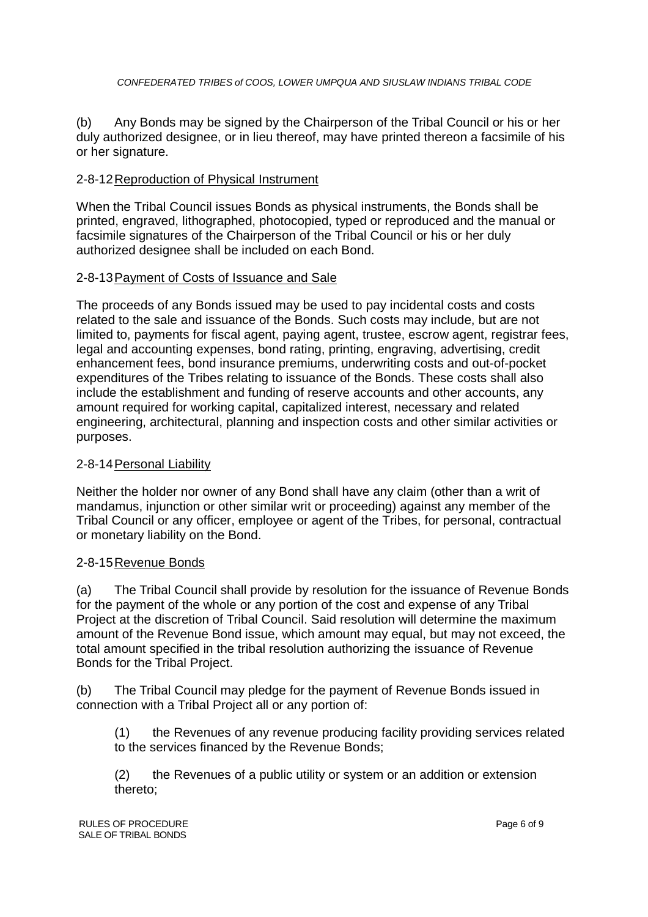(b) Any Bonds may be signed by the Chairperson of the Tribal Council or his or her duly authorized designee, or in lieu thereof, may have printed thereon a facsimile of his or her signature.

#### 2-8-12Reproduction of Physical Instrument

When the Tribal Council issues Bonds as physical instruments, the Bonds shall be printed, engraved, lithographed, photocopied, typed or reproduced and the manual or facsimile signatures of the Chairperson of the Tribal Council or his or her duly authorized designee shall be included on each Bond.

#### 2-8-13Payment of Costs of Issuance and Sale

The proceeds of any Bonds issued may be used to pay incidental costs and costs related to the sale and issuance of the Bonds. Such costs may include, but are not limited to, payments for fiscal agent, paying agent, trustee, escrow agent, registrar fees, legal and accounting expenses, bond rating, printing, engraving, advertising, credit enhancement fees, bond insurance premiums, underwriting costs and out-of-pocket expenditures of the Tribes relating to issuance of the Bonds. These costs shall also include the establishment and funding of reserve accounts and other accounts, any amount required for working capital, capitalized interest, necessary and related engineering, architectural, planning and inspection costs and other similar activities or purposes.

#### 2-8-14Personal Liability

Neither the holder nor owner of any Bond shall have any claim (other than a writ of mandamus, injunction or other similar writ or proceeding) against any member of the Tribal Council or any officer, employee or agent of the Tribes, for personal, contractual or monetary liability on the Bond.

#### 2-8-15Revenue Bonds

(a) The Tribal Council shall provide by resolution for the issuance of Revenue Bonds for the payment of the whole or any portion of the cost and expense of any Tribal Project at the discretion of Tribal Council. Said resolution will determine the maximum amount of the Revenue Bond issue, which amount may equal, but may not exceed, the total amount specified in the tribal resolution authorizing the issuance of Revenue Bonds for the Tribal Project.

(b) The Tribal Council may pledge for the payment of Revenue Bonds issued in connection with a Tribal Project all or any portion of:

(1) the Revenues of any revenue producing facility providing services related to the services financed by the Revenue Bonds;

(2) the Revenues of a public utility or system or an addition or extension thereto;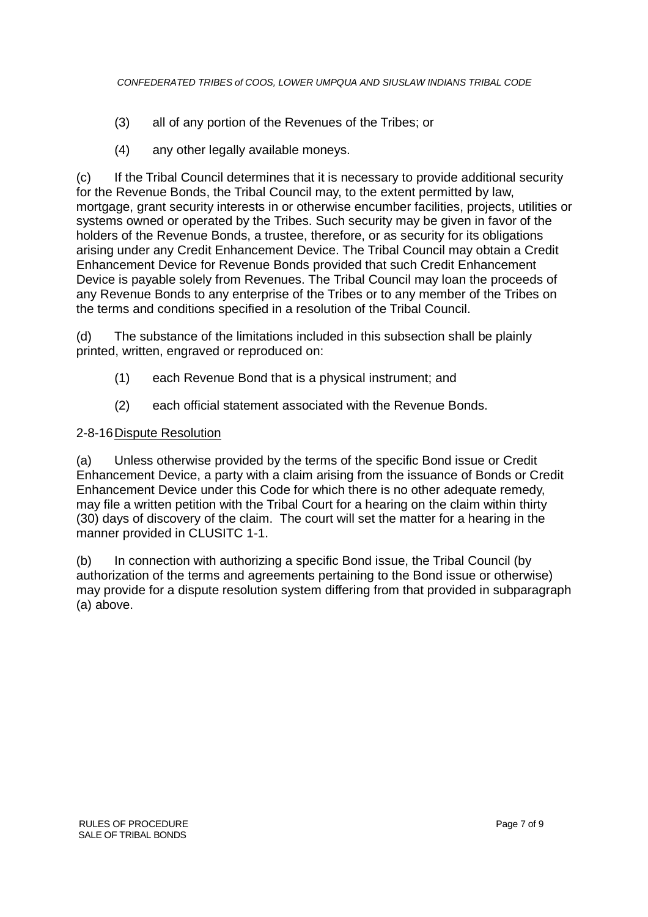- (3) all of any portion of the Revenues of the Tribes; or
- (4) any other legally available moneys.

(c) If the Tribal Council determines that it is necessary to provide additional security for the Revenue Bonds, the Tribal Council may, to the extent permitted by law, mortgage, grant security interests in or otherwise encumber facilities, projects, utilities or systems owned or operated by the Tribes. Such security may be given in favor of the holders of the Revenue Bonds, a trustee, therefore, or as security for its obligations arising under any Credit Enhancement Device. The Tribal Council may obtain a Credit Enhancement Device for Revenue Bonds provided that such Credit Enhancement Device is payable solely from Revenues. The Tribal Council may loan the proceeds of any Revenue Bonds to any enterprise of the Tribes or to any member of the Tribes on the terms and conditions specified in a resolution of the Tribal Council.

(d) The substance of the limitations included in this subsection shall be plainly printed, written, engraved or reproduced on:

- (1) each Revenue Bond that is a physical instrument; and
- (2) each official statement associated with the Revenue Bonds.

#### 2-8-16Dispute Resolution

(a) Unless otherwise provided by the terms of the specific Bond issue or Credit Enhancement Device, a party with a claim arising from the issuance of Bonds or Credit Enhancement Device under this Code for which there is no other adequate remedy, may file a written petition with the Tribal Court for a hearing on the claim within thirty (30) days of discovery of the claim. The court will set the matter for a hearing in the manner provided in CLUSITC 1-1.

(b) In connection with authorizing a specific Bond issue, the Tribal Council (by authorization of the terms and agreements pertaining to the Bond issue or otherwise) may provide for a dispute resolution system differing from that provided in subparagraph (a) above.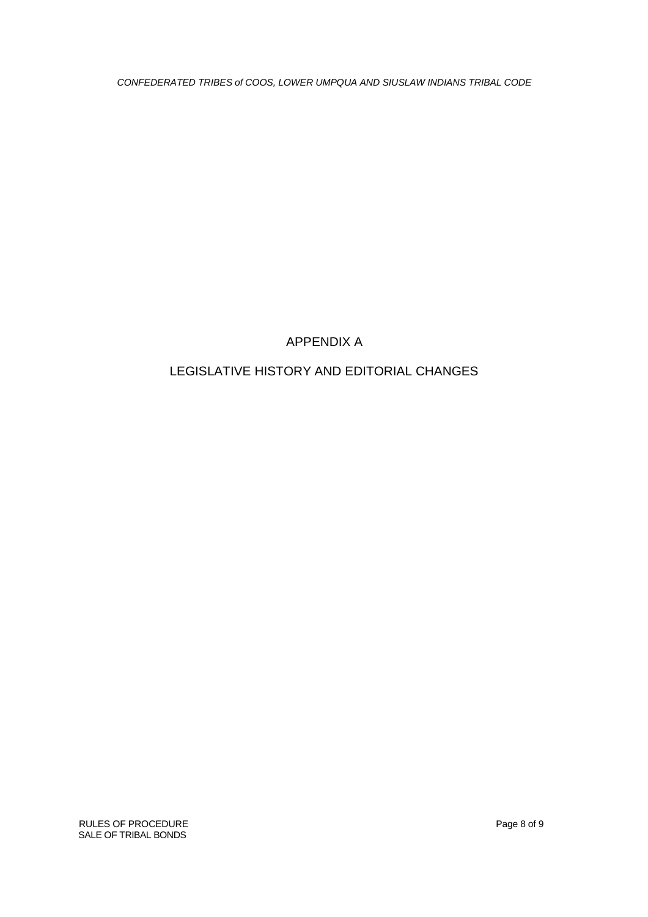# APPENDIX A

## LEGISLATIVE HISTORY AND EDITORIAL CHANGES